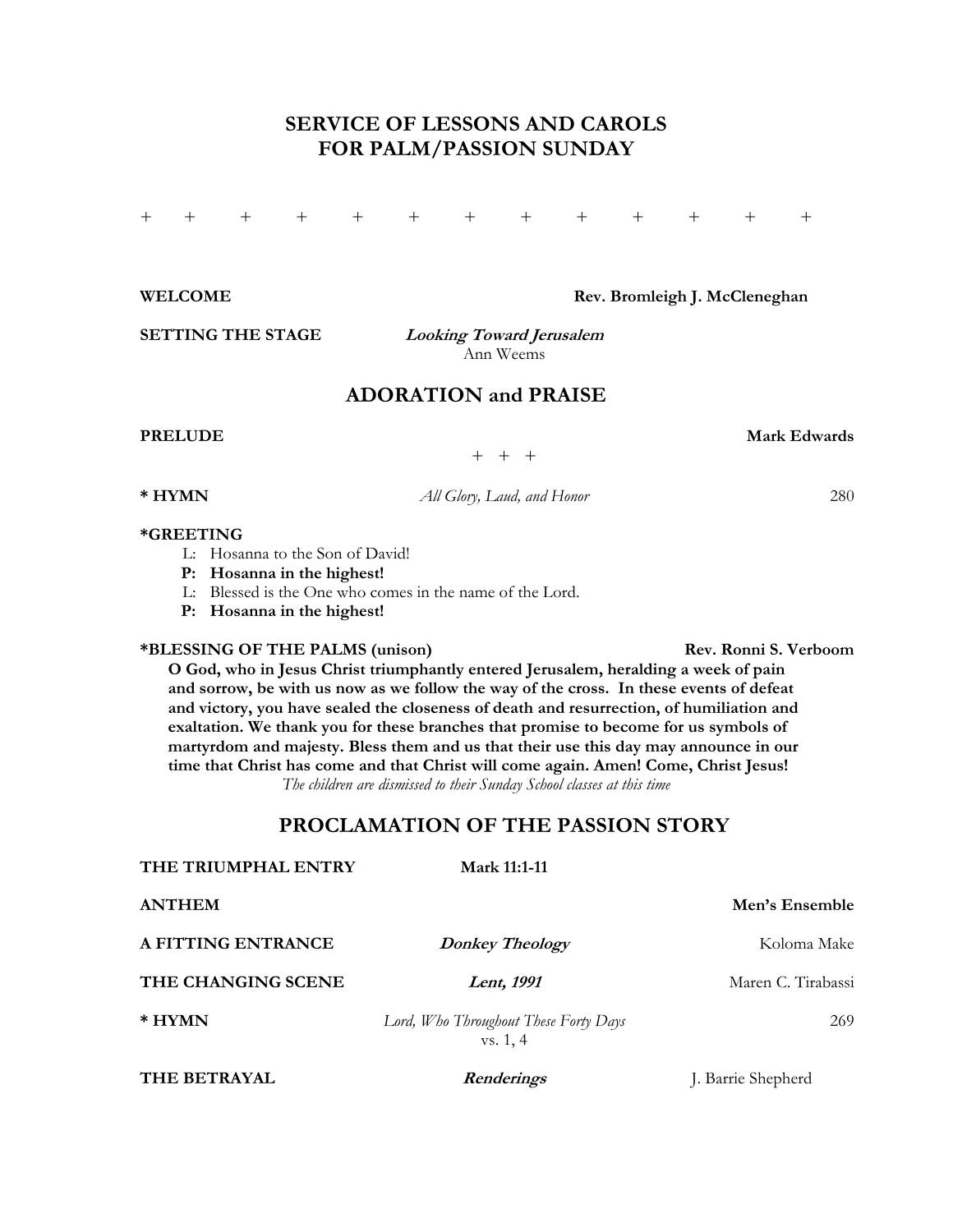# **SERVICE OF LESSONS AND CAROLS FOR PALM/PASSION SUNDAY**

+ + + + + + + + + + + + +

WELCOME **Rev. Bromleigh J. McCleneghan** 

**SETTING THE STAGE Looking Toward Jerusalem**

Ann Weems

# **ADORATION and PRAISE**

**PRELUDE** Mark Edwards **Mark Edwards** 

+ + +

**\* HYMN** *All Glory, Laud, and Honor* 280

#### **\*GREETING**

- L: Hosanna to the Son of David!
- **P: Hosanna in the highest!**
- L: Blessed is the One who comes in the name of the Lord.
- **P: Hosanna in the highest!**

### **\*BLESSING OF THE PALMS (unison) Rev. Ronni S. Verboom**

**O God, who in Jesus Christ triumphantly entered Jerusalem, heralding a week of pain and sorrow, be with us now as we follow the way of the cross. In these events of defeat and victory, you have sealed the closeness of death and resurrection, of humiliation and exaltation. We thank you for these branches that promise to become for us symbols of martyrdom and majesty. Bless them and us that their use this day may announce in our time that Christ has come and that Christ will come again. Amen! Come, Christ Jesus!**  *The children are dismissed to their Sunday School classes at this time* 

## **PROCLAMATION OF THE PASSION STORY**

| THE TRIUMPHAL ENTRY | <b>Mark 11:1-11</b>                               |                    |
|---------------------|---------------------------------------------------|--------------------|
| <b>ANTHEM</b>       |                                                   | Men's Ensemble     |
| A FITTING ENTRANCE  | <b>Donkey Theology</b>                            | Koloma Make        |
| THE CHANGING SCENE  | Lent, 1991                                        | Maren C. Tirabassi |
| * HYMN              | Lord, Who Throughout These Forty Days<br>vs. 1, 4 | 269                |
| THE BETRAYAL        | <b>Renderings</b>                                 | J. Barrie Shepherd |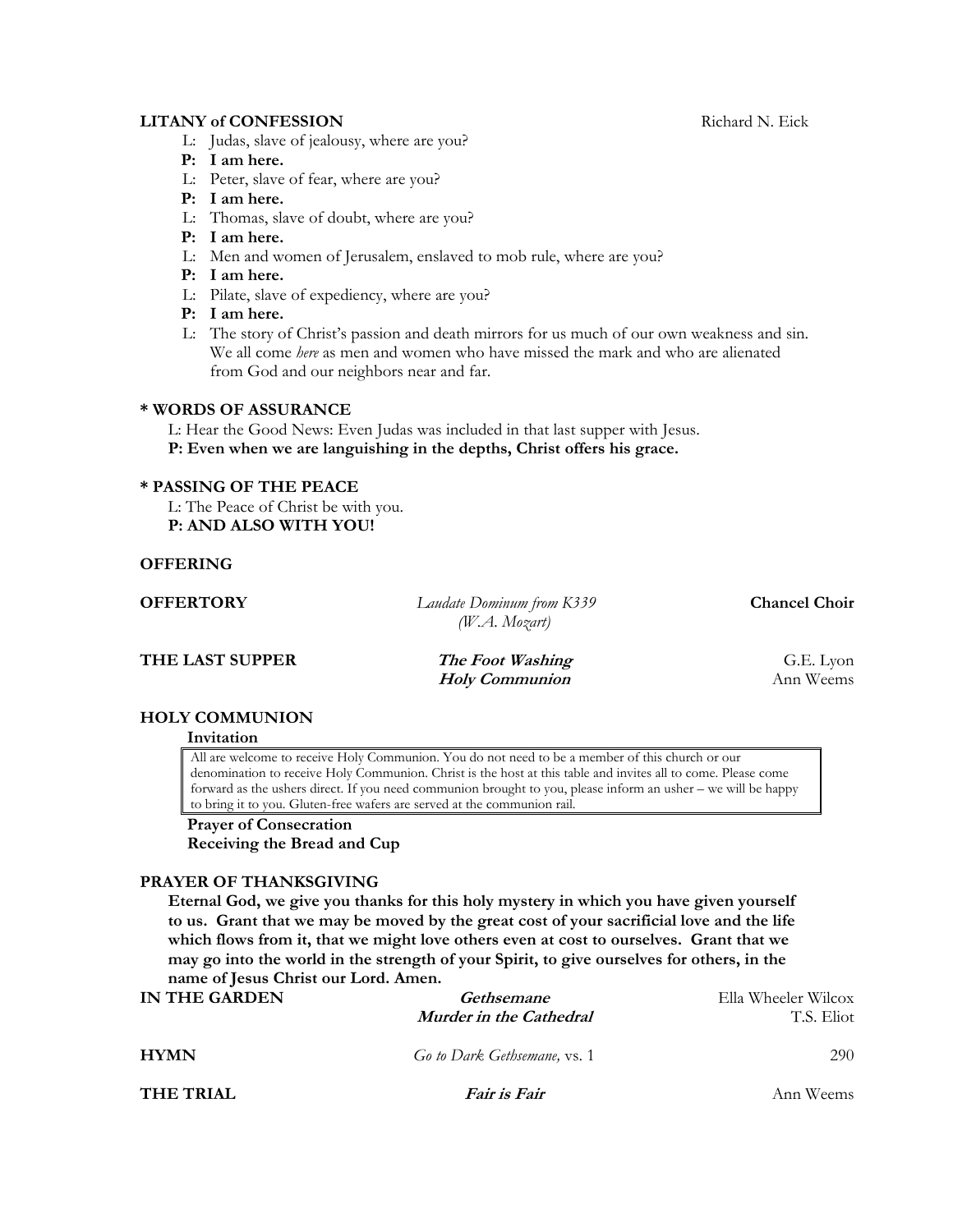## **LITANY of CONFESSION** Richard N. Eick

- L: Judas, slave of jealousy, where are you?
- **P: I am here.**
- L: Peter, slave of fear, where are you?
- **P: I am here.**
- L: Thomas, slave of doubt, where are you?
- **P: I am here.**
- L: Men and women of Jerusalem, enslaved to mob rule, where are you?
- **P: I am here.**
- L: Pilate, slave of expediency, where are you?
- **P: I am here.**
- L: The story of Christ's passion and death mirrors for us much of our own weakness and sin. We all come *here* as men and women who have missed the mark and who are alienated from God and our neighbors near and far.

#### **\* WORDS OF ASSURANCE**

L: Hear the Good News: Even Judas was included in that last supper with Jesus. **P: Even when we are languishing in the depths, Christ offers his grace.** 

### **\* PASSING OF THE PEACE**

L: The Peace of Christ be with you.  **P: AND ALSO WITH YOU!** 

## **OFFERING**

| <b>OFFERTORY</b> | Laudate Dominum from K339<br>$(W.A.$ Mozart) | <b>Chancel Choir</b> |
|------------------|----------------------------------------------|----------------------|
| THE LAST SUPPER  | The Foot Washing                             | G.E. Lyon            |

*Holy Communion* Ann Weems

#### **HOLY COMMUNION**

#### **Invitation**

All are welcome to receive Holy Communion. You do not need to be a member of this church or our denomination to receive Holy Communion. Christ is the host at this table and invites all to come. Please come forward as the ushers direct. If you need communion brought to you, please inform an usher – we will be happy to bring it to you. Gluten-free wafers are served at the communion rail.

# **Prayer of Consecration**

 **Receiving the Bread and Cup**

#### **PRAYER OF THANKSGIVING**

**Eternal God, we give you thanks for this holy mystery in which you have given yourself to us. Grant that we may be moved by the great cost of your sacrificial love and the life which flows from it, that we might love others even at cost to ourselves. Grant that we may go into the world in the strength of your Spirit, to give ourselves for others, in the name of Jesus Christ our Lord. Amen.** 

| IN THE GARDEN    | Gethsemane                   | Ella Wheeler Wilcox |
|------------------|------------------------------|---------------------|
|                  | Murder in the Cathedral      | T.S. Eliot          |
| <b>HYMN</b>      | Go to Dark Gethsemane, vs. 1 | 290                 |
| <b>THE TRIAL</b> | <i>Fair is Fair</i>          | Ann Weems           |